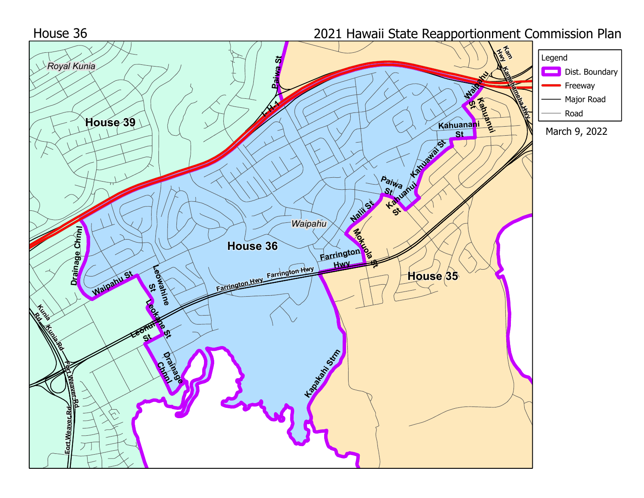